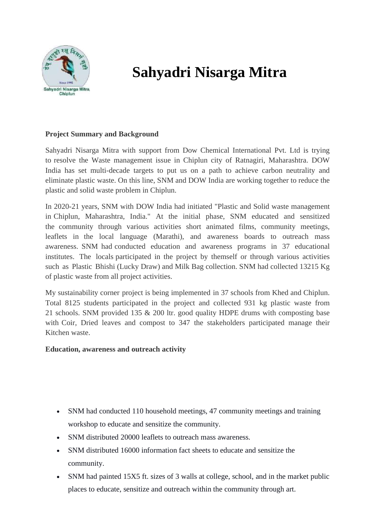

# **Sahyadri Nisarga Mitra**

# **Project Summary and Background**

Sahyadri Nisarga Mitra with support from Dow Chemical International Pvt. Ltd is trying to resolve the Waste management issue in Chiplun city of Ratnagiri, Maharashtra. DOW India has set multi-decade targets to put us on a path to achieve carbon neutrality and eliminate plastic waste. On this line, SNM and DOW India are working together to reduce the plastic and solid waste problem in Chiplun.

In 2020-21 years, SNM with DOW India had initiated "Plastic and Solid waste management in Chiplun, Maharashtra, India." At the initial phase, SNM educated and sensitized the community through various activities short animated films, community meetings, leaflets in the local language (Marathi), and awareness boards to outreach mass awareness. SNM had conducted education and awareness programs in 37 educational institutes. The locals participated in the project by themself or through various activities such as Plastic Bhishi (Lucky Draw) and Milk Bag collection. SNM had collected 13215 Kg of plastic waste from all project activities.

My sustainability corner project is being implemented in 37 schools from Khed and Chiplun. Total 8125 students participated in the project and collected 931 kg plastic waste from 21 schools. SNM provided 135 & 200 ltr. good quality HDPE drums with composting base with Coir, Dried leaves and compost to 347 the stakeholders participated manage their Kitchen waste.

#### **Education, awareness and outreach activity**

- SNM had conducted 110 household meetings, 47 community meetings and training workshop to educate and sensitize the community.
- SNM distributed 20000 leaflets to outreach mass awareness.
- SNM distributed 16000 information fact sheets to educate and sensitize the community.
- SNM had painted 15X5 ft. sizes of 3 walls at college, school, and in the market public places to educate, sensitize and outreach within the community through art.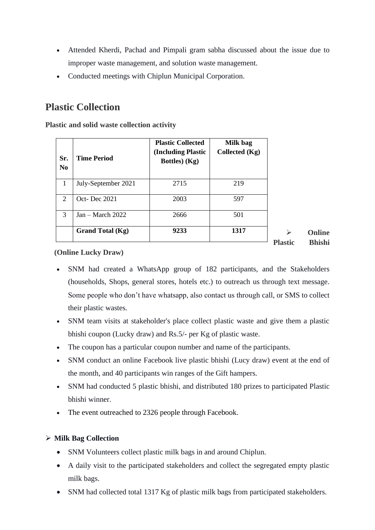- Attended Kherdi, Pachad and Pimpali gram sabha discussed about the issue due to improper waste management, and solution waste management.
- Conducted meetings with Chiplun Municipal Corporation.

# **Plastic Collection**

**Plastic and solid waste collection activity** 

| Sr.<br>N <sub>0</sub>       | <b>Time Period</b>  | <b>Plastic Collected</b><br>(Including Plastic<br>Bottles) (Kg) | Milk bag<br>Collected (Kg) |
|-----------------------------|---------------------|-----------------------------------------------------------------|----------------------------|
| 1                           | July-September 2021 | 2715                                                            | 219                        |
| $\mathcal{D}_{\mathcal{L}}$ | Oct-Dec 2021        | 2003                                                            | 597                        |
| 3                           | $Jan - March 2022$  | 2666                                                            | 501                        |
|                             | Grand Total (Kg)    | 9233                                                            | 1317                       |
|                             |                     |                                                                 |                            |

➢ **Online Plastic Bhishi**

#### **(Online Lucky Draw)**

- SNM had created a WhatsApp group of 182 participants, and the Stakeholders (households, Shops, general stores, hotels etc.) to outreach us through text message. Some people who don't have whatsapp, also contact us through call, or SMS to collect their plastic wastes.
- SNM team visits at stakeholder's place collect plastic waste and give them a plastic bhishi coupon (Lucky draw) and Rs.5/- per Kg of plastic waste.
- The coupon has a particular coupon number and name of the participants.
- SNM conduct an online Facebook live plastic bhishi (Lucy draw) event at the end of the month, and 40 participants win ranges of the Gift hampers.
- SNM had conducted 5 plastic bhishi, and distributed 180 prizes to participated Plastic bhishi winner.
- The event outreached to 2326 people through Facebook.

#### ➢ **Milk Bag Collection**

- SNM Volunteers collect plastic milk bags in and around Chiplun.
- A daily visit to the participated stakeholders and collect the segregated empty plastic milk bags.
- SNM had collected total 1317 Kg of plastic milk bags from participated stakeholders.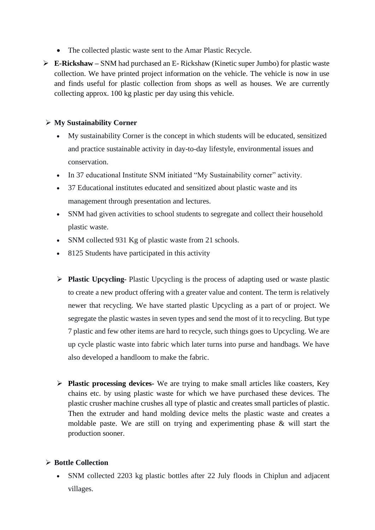- The collected plastic waste sent to the Amar Plastic Recycle.
- ➢ **E-Rickshaw –** SNM had purchased an E- Rickshaw (Kinetic super Jumbo) for plastic waste collection. We have printed project information on the vehicle. The vehicle is now in use and finds useful for plastic collection from shops as well as houses. We are currently collecting approx. 100 kg plastic per day using this vehicle.

#### ➢ **My Sustainability Corner**

- My sustainability Corner is the concept in which students will be educated, sensitized and practice sustainable activity in day-to-day lifestyle, environmental issues and conservation.
- In 37 educational Institute SNM initiated "My Sustainability corner" activity.
- 37 Educational institutes educated and sensitized about plastic waste and its management through presentation and lectures.
- SNM had given activities to school students to segregate and collect their household plastic waste.
- SNM collected 931 Kg of plastic waste from 21 schools.
- 8125 Students have participated in this activity
- ➢ **Plastic Upcycling-** Plastic Upcycling is the process of adapting used or waste plastic to create a new product offering with a greater value and content. The term is relatively newer that recycling. We have started plastic Upcycling as a part of or project. We segregate the plastic wastes in seven types and send the most of it to recycling. But type 7 plastic and few other items are hard to recycle, such things goes to Upcycling. We are up cycle plastic waste into fabric which later turns into purse and handbags. We have also developed a handloom to make the fabric.
- ➢ **Plastic processing devices-** We are trying to make small articles like coasters, Key chains etc. by using plastic waste for which we have purchased these devices. The plastic crusher machine crushes all type of plastic and creates small particles of plastic. Then the extruder and hand molding device melts the plastic waste and creates a moldable paste. We are still on trying and experimenting phase & will start the production sooner.

#### ➢ **Bottle Collection**

• SNM collected 2203 kg plastic bottles after 22 July floods in Chiplun and adjacent villages.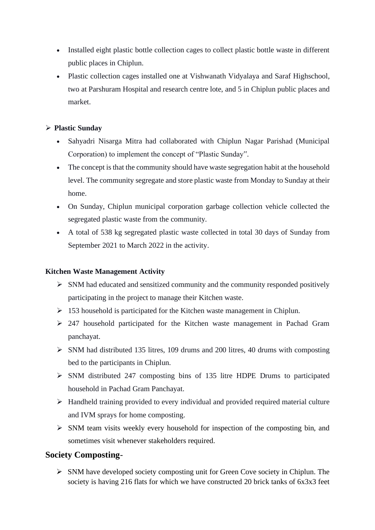- Installed eight plastic bottle collection cages to collect plastic bottle waste in different public places in Chiplun.
- Plastic collection cages installed one at Vishwanath Vidyalaya and Saraf Highschool, two at Parshuram Hospital and research centre lote, and 5 in Chiplun public places and market.

# ➢ **Plastic Sunday**

- Sahyadri Nisarga Mitra had collaborated with Chiplun Nagar Parishad (Municipal Corporation) to implement the concept of "Plastic Sunday".
- The concept is that the community should have waste segregation habit at the household level. The community segregate and store plastic waste from Monday to Sunday at their home.
- On Sunday, Chiplun municipal corporation garbage collection vehicle collected the segregated plastic waste from the community.
- A total of 538 kg segregated plastic waste collected in total 30 days of Sunday from September 2021 to March 2022 in the activity.

#### **Kitchen Waste Management Activity**

- $\triangleright$  SNM had educated and sensitized community and the community responded positively participating in the project to manage their Kitchen waste.
- $\geq 153$  household is participated for the Kitchen waste management in Chiplun.
- ➢ 247 household participated for the Kitchen waste management in Pachad Gram panchayat.
- $\triangleright$  SNM had distributed 135 litres, 109 drums and 200 litres, 40 drums with composting bed to the participants in Chiplun.
- ➢ SNM distributed 247 composting bins of 135 litre HDPE Drums to participated household in Pachad Gram Panchayat.
- ➢ Handheld training provided to every individual and provided required material culture and IVM sprays for home composting.
- ➢ SNM team visits weekly every household for inspection of the composting bin, and sometimes visit whenever stakeholders required.

# **Society Composting**-

➢ SNM have developed society composting unit for Green Cove society in Chiplun. The society is having 216 flats for which we have constructed 20 brick tanks of 6x3x3 feet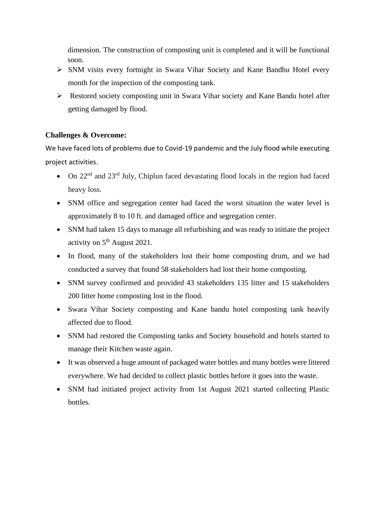dimension. The construction of composting unit is completed and it will be functional soon.

- ➢ SNM visits every fortnight in Swara Vihar Society and Kane Bandhu Hotel every month for the inspection of the composting tank.
- ➢ Restored society composting unit in Swara Vihar society and Kane Bandu hotel after getting damaged by flood.

# **Challenges & Overcome:**

We have faced lots of problems due to Covid-19 pandemic and the July flood while executing project activities.

- On  $22<sup>nd</sup>$  and  $23<sup>rd</sup>$  July, Chiplun faced devastating flood locals in the region had faced heavy loss.
- SNM office and segregation center had faced the worst situation the water level is approximately 8 to 10 ft. and damaged office and segregation center.
- SNM had taken 15 days to manage all refurbishing and was ready to initiate the project activity on  $5<sup>th</sup>$  August 2021.
- In flood, many of the stakeholders lost their home composting drum, and we had conducted a survey that found 58 stakeholders had lost their home composting.
- SNM survey confirmed and provided 43 stakeholders 135 litter and 15 stakeholders 200 litter home composting lost in the flood.
- Swara Vihar Society composting and Kane bandu hotel composting tank heavily affected due to flood.
- SNM had restored the Composting tanks and Society household and hotels started to manage their Kitchen waste again.
- It was observed a huge amount of packaged water bottles and many bottles were littered everywhere. We had decided to collect plastic bottles before it goes into the waste.
- SNM had initiated project activity from 1st August 2021 started collecting Plastic bottles.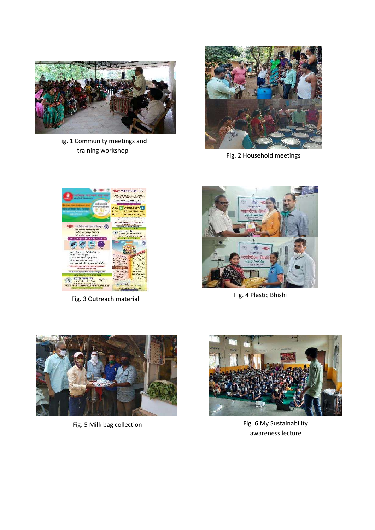

Fig. 1 Community meetings and training workshop



Fig. 2 Household meetings



Fig. 3 Outreach material



Fig. 4 Plastic Bhishi





Fig. 5 Milk bag collection **Fig. 5 Milk bag** collection awareness lecture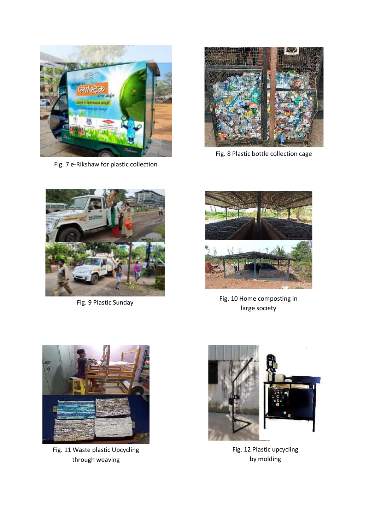

Fig. 7 e-Rikshaw for plastic collection



Fig. 8 Plastic bottle collection cage



Fig. 9 Plastic Sunday



Fig. 10 Home composting in large society



Fig. 11 Waste plastic Upcycling through weaving



Fig. 12 Plastic upcycling by molding